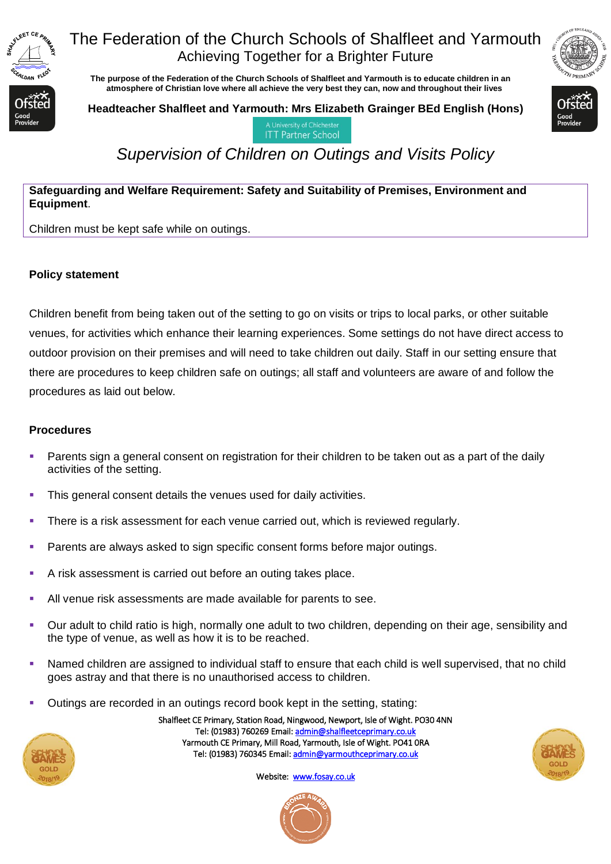

## The Federation of the Church Schools of Shalfleet and Yarmouth Achieving Together for a Brighter Future

 **The purpose of the Federation of the Church Schools of Shalfleet and Yarmouth is to educate children in an atmosphere of Christian love where all achieve the very best they can, now and throughout their lives** 

**Headteacher Shalfleet and Yarmouth: Mrs Elizabeth Grainger BEd English (Hons)**



**ITT Partner School** 

# *Supervision of Children on Outings and Visits Policy*

#### **Safeguarding and Welfare Requirement: Safety and Suitability of Premises, Environment and Equipment**.

Children must be kept safe while on outings.

#### **Policy statement**

Children benefit from being taken out of the setting to go on visits or trips to local parks, or other suitable venues, for activities which enhance their learning experiences. Some settings do not have direct access to outdoor provision on their premises and will need to take children out daily. Staff in our setting ensure that there are procedures to keep children safe on outings; all staff and volunteers are aware of and follow the procedures as laid out below.

#### **Procedures**

- Parents sign a general consent on registration for their children to be taken out as a part of the daily activities of the setting.
- This general consent details the venues used for daily activities.
- There is a risk assessment for each venue carried out, which is reviewed regularly.
- Parents are always asked to sign specific consent forms before major outings.
- A risk assessment is carried out before an outing takes place.
- All venue risk assessments are made available for parents to see.
- Our adult to child ratio is high, normally one adult to two children, depending on their age, sensibility and the type of venue, as well as how it is to be reached.
- Named children are assigned to individual staff to ensure that each child is well supervised, that no child goes astray and that there is no unauthorised access to children.
- Outings are recorded in an outings record book kept in the setting, stating:

Tel: (01983) 760269 Email[: admin@shalfleetceprimary.co.uk](mailto:admin@shalfleetceprimary.co.uk)  Yarmouth CE Primary, Mill Road, Yarmouth, Isle of Wight. PO41 0RA Tel: (01983) 760345 Email: admin@yarmouthceprimary.co.uk

Shalfleet CE Primary, Station Road, Ningwood, Newport, Isle of Wight. PO30 4NN



Website: [www.fosay.co.uk](http://www.fosay.co.uk/) 

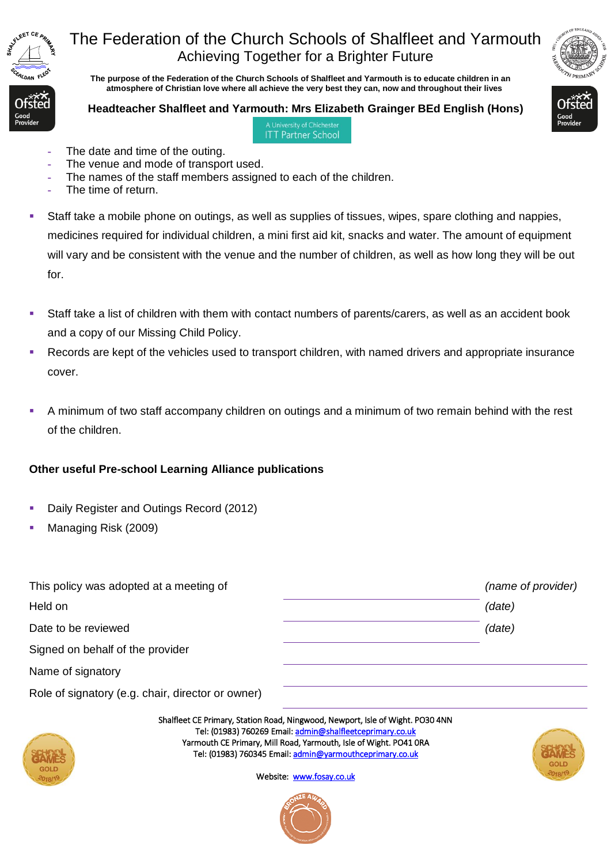

# The Federation of the Church Schools of Shalfleet and Yarmouth Achieving Together for a Brighter Future

 **The purpose of the Federation of the Church Schools of Shalfleet and Yarmouth is to educate children in an atmosphere of Christian love where all achieve the very best they can, now and throughout their lives** 

#### **Headteacher Shalfleet and Yarmouth: Mrs Elizabeth Grainger BEd English (Hons)** A University of Chicheste



**ITT Partner School** 

- The date and time of the outing.
- **-** The venue and mode of transport used.
- **-** The names of the staff members assigned to each of the children.
- **-** The time of return.
- Staff take a mobile phone on outings, as well as supplies of tissues, wipes, spare clothing and nappies, medicines required for individual children, a mini first aid kit, snacks and water. The amount of equipment will vary and be consistent with the venue and the number of children, as well as how long they will be out for.
- Staff take a list of children with them with contact numbers of parents/carers, as well as an accident book and a copy of our Missing Child Policy.
- Records are kept of the vehicles used to transport children, with named drivers and appropriate insurance cover.
- A minimum of two staff accompany children on outings and a minimum of two remain behind with the rest of the children.

### **Other useful Pre-school Learning Alliance publications**

- Daily Register and Outings Record (2012)
- Managing Risk (2009)

| This policy was adopted at a meeting of           |                                                                                                                                                                                                                                                                                                          | (name of provider)        |
|---------------------------------------------------|----------------------------------------------------------------------------------------------------------------------------------------------------------------------------------------------------------------------------------------------------------------------------------------------------------|---------------------------|
| Held on                                           |                                                                                                                                                                                                                                                                                                          | (date)                    |
| Date to be reviewed                               |                                                                                                                                                                                                                                                                                                          | (date)                    |
| Signed on behalf of the provider                  |                                                                                                                                                                                                                                                                                                          |                           |
| Name of signatory                                 |                                                                                                                                                                                                                                                                                                          |                           |
| Role of signatory (e.g. chair, director or owner) |                                                                                                                                                                                                                                                                                                          |                           |
| <b>GOLD</b><br>$-2018/19$                         | Shalfleet CE Primary, Station Road, Ningwood, Newport, Isle of Wight. PO30 4NN<br>Tel: (01983) 760269 Email: admin@shalfleetceprimary.co.uk<br>Yarmouth CE Primary, Mill Road, Yarmouth, Isle of Wight. PO41 ORA<br>Tel: (01983) 760345 Email: admin@yarmouthceprimary.co.uk<br>Website: www.fosay.co.uk | <b>GOLD</b><br>$-2018/19$ |